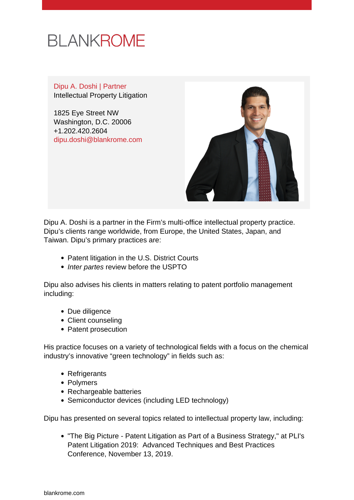

Dipu A. Doshi | Partner Intellectual Property Litigation

1825 Eye Street NW Washington, D.C. 20006 +1.202.420.2604 [dipu.doshi@blankrome.com](mailto:dipu.doshi@blankrome.com)



Dipu A. Doshi is a partner in the Firm's multi-office intellectual property practice. Dipu's clients range worldwide, from Europe, the United States, Japan, and Taiwan. Dipu's primary practices are:

- Patent litigation in the U.S. District Courts
- Inter partes review before the USPTO

Dipu also advises his clients in matters relating to patent portfolio management including:

- Due diligence
- Client counseling
- Patent prosecution

His practice focuses on a variety of technological fields with a focus on the chemical industry's innovative "green technology" in fields such as:

- Refrigerants
- Polymers
- Rechargeable batteries
- Semiconductor devices (including LED technology)

Dipu has presented on several topics related to intellectual property law, including:

• "The Big Picture - Patent Litigation as Part of a Business Strategy," at PLI's Patent Litigation 2019: Advanced Techniques and Best Practices Conference, November 13, 2019.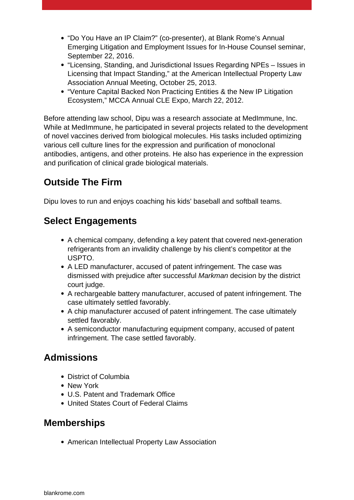- "Do You Have an IP Claim?" (co-presenter), at Blank Rome's Annual Emerging Litigation and Employment Issues for In-House Counsel seminar, September 22, 2016.
- "Licensing, Standing, and Jurisdictional Issues Regarding NPEs Issues in Licensing that Impact Standing," at the American Intellectual Property Law Association Annual Meeting, October 25, 2013.
- "Venture Capital Backed Non Practicing Entities & the New IP Litigation Ecosystem," MCCA Annual CLE Expo, March 22, 2012.

Before attending law school, Dipu was a research associate at MedImmune, Inc. While at MedImmune, he participated in several projects related to the development of novel vaccines derived from biological molecules. His tasks included optimizing various cell culture lines for the expression and purification of monoclonal antibodies, antigens, and other proteins. He also has experience in the expression and purification of clinical grade biological materials.

## **Outside The Firm**

Dipu loves to run and enjoys coaching his kids' baseball and softball teams.

## **Select Engagements**

- A chemical company, defending a key patent that covered next-generation refrigerants from an invalidity challenge by his client's competitor at the USPTO.
- A LED manufacturer, accused of patent infringement. The case was dismissed with prejudice after successful Markman decision by the district court judge.
- A rechargeable battery manufacturer, accused of patent infringement. The case ultimately settled favorably.
- A chip manufacturer accused of patent infringement. The case ultimately settled favorably.
- A semiconductor manufacturing equipment company, accused of patent infringement. The case settled favorably.

## **Admissions**

- District of Columbia
- New York
- U.S. Patent and Trademark Office
- United States Court of Federal Claims

#### **Memberships**

American Intellectual Property Law Association